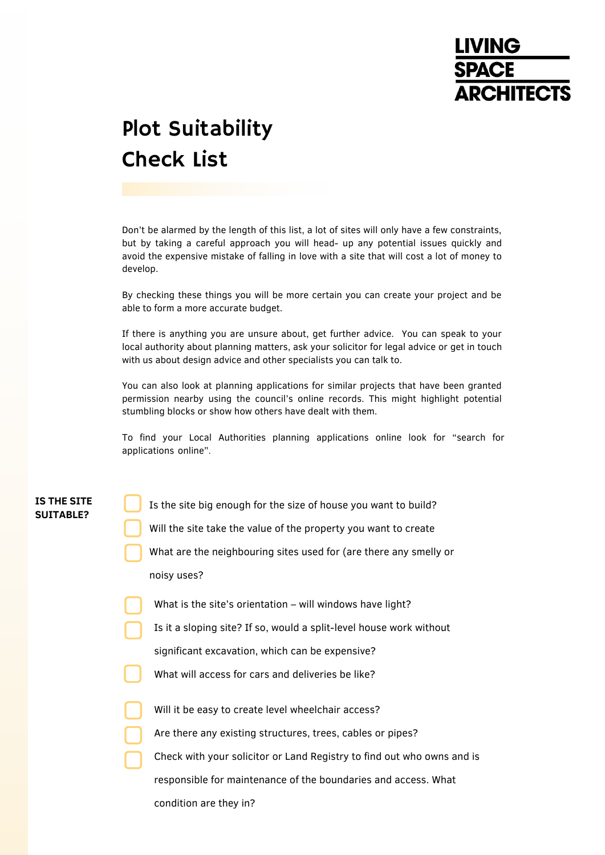# **LIVING SPACE ARCHITECTS**

# Plot Suitability Check List

Don't be alarmed by the length of this list, a lot of sites will only have a few constraints, but by taking a careful approach you will head- up any potential issues quickly and avoid the expensive mistake of falling in love with a site that will cost a lot of money to develop.

By checking these things you will be more certain you can create your project and be able to form a more accurate budget.

If there is anything you are unsure about, get further advice. You can speak to your local authority about planning matters, ask your solicitor for legal advice or get in touch with us about design advice and other specialists you can talk to.

You can also look at planning applications for similar projects that have been granted permission nearby using the council's online records. This might highlight potential stumbling blocks or show how others have dealt with them.

To find your Local Authorities planning applications online look for "search for applications online".

# **IS THE SITE SUITABLE?**

Is the site big enough for the size of house you want to build?

- Will the site take the value of the property you want to create
- What are the neighbouring sites used for (are there any smelly or noisy uses?
- What is the site's orientation will windows have light?
- Is it a sloping site? If so, would a split-level house work without
- significant excavation, which can be expensive?
- What will access for cars and deliveries be like?
- Will it be easy to create level wheelchair access?
- Are there any existing structures, trees, cables or pipes?
- Check with your solicitor or Land Registry to find out who owns and is
- responsible for maintenance of the boundaries and access. What

condition are they in?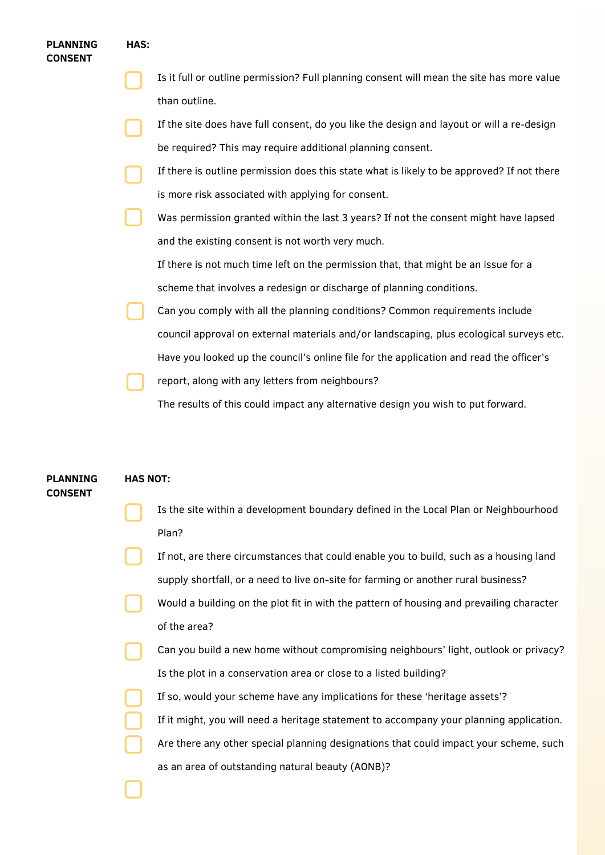### **PLANNING CONSENT**

#### **HAS:**

- Is it full or outline permission? Full planning consent will mean the site has more value than outline.
- If the site does have full consent, do you like the design and layout or will a re-design be required? This may require additional planning consent.
- If there is outline permission does this state what is likely to be approved? If not there is more risk associated with applying for consent.
- Was permission granted within the last 3 years? If not the consent might have lapsed and the existing consent is not worth very much.

If there is not much time left on the permission that, that might be an issue for a scheme that involves a redesign or discharge of planning conditions.

- Can you comply with all the planning conditions? Common requirements include council approval on external materials and/or landscaping, plus ecological surveys etc. Have you looked up the council's online file for the application and read the officer's
- report, along with any letters from neighbours?

The results of this could impact any alternative design you wish to put forward.

#### **PLANNING CONSENT HAS NOT:**

- Is the site within a development boundary defined in the Local Plan or Neighbourhood Plan?
- If not, are there circumstances that could enable you to build, such as a housing land supply shortfall, or a need to live on-site for farming or another rural business?
- Would a building on the plot fit in with the pattern of housing and prevailing character of the area?
- Can you build a new home without compromising neighbours' light, outlook or privacy? Is the plot in a conservation area or close to a listed building?
	- If so, would your scheme have any implications for these 'heritage assets'?
	- If it might, you will need a heritage statement to accompany your planning application.
	- Are there any other special planning designations that could impact your scheme, such as an area of outstanding natural beauty (AONB)?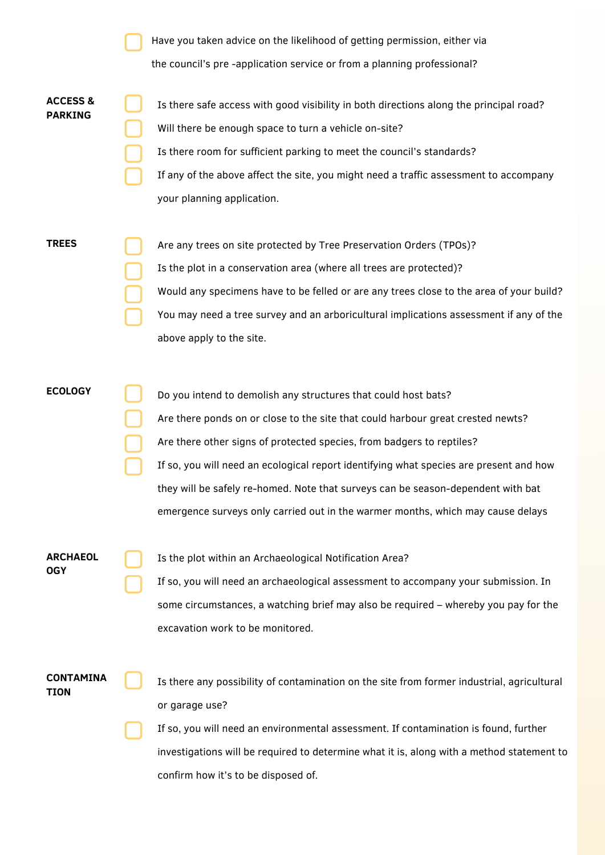|                                       | Have you taken advice on the likelihood of getting permission, either via                                                                                                                                                                                                                                                                                                                                                                                                                   |
|---------------------------------------|---------------------------------------------------------------------------------------------------------------------------------------------------------------------------------------------------------------------------------------------------------------------------------------------------------------------------------------------------------------------------------------------------------------------------------------------------------------------------------------------|
|                                       | the council's pre-application service or from a planning professional?                                                                                                                                                                                                                                                                                                                                                                                                                      |
| <b>ACCESS &amp;</b><br><b>PARKING</b> | Is there safe access with good visibility in both directions along the principal road?<br>Will there be enough space to turn a vehicle on-site?<br>Is there room for sufficient parking to meet the council's standards?<br>If any of the above affect the site, you might need a traffic assessment to accompany<br>your planning application.                                                                                                                                             |
| <b>TREES</b>                          | Are any trees on site protected by Tree Preservation Orders (TPOs)?<br>Is the plot in a conservation area (where all trees are protected)?<br>Would any specimens have to be felled or are any trees close to the area of your build?<br>You may need a tree survey and an arboricultural implications assessment if any of the<br>above apply to the site.                                                                                                                                 |
| <b>ECOLOGY</b>                        | Do you intend to demolish any structures that could host bats?<br>Are there ponds on or close to the site that could harbour great crested newts?<br>Are there other signs of protected species, from badgers to reptiles?<br>If so, you will need an ecological report identifying what species are present and how<br>they will be safely re-homed. Note that surveys can be season-dependent with bat<br>emergence surveys only carried out in the warmer months, which may cause delays |
| <b>ARCHAEOL</b><br><b>OGY</b>         | Is the plot within an Archaeological Notification Area?<br>If so, you will need an archaeological assessment to accompany your submission. In<br>some circumstances, a watching brief may also be required - whereby you pay for the<br>excavation work to be monitored.                                                                                                                                                                                                                    |
| <b>CONTAMINA</b><br>TION              | Is there any possibility of contamination on the site from former industrial, agricultural<br>or garage use?<br>If so, you will need an environmental assessment. If contamination is found, further<br>investigations will be required to determine what it is, along with a method statement to<br>confirm how it's to be disposed of.                                                                                                                                                    |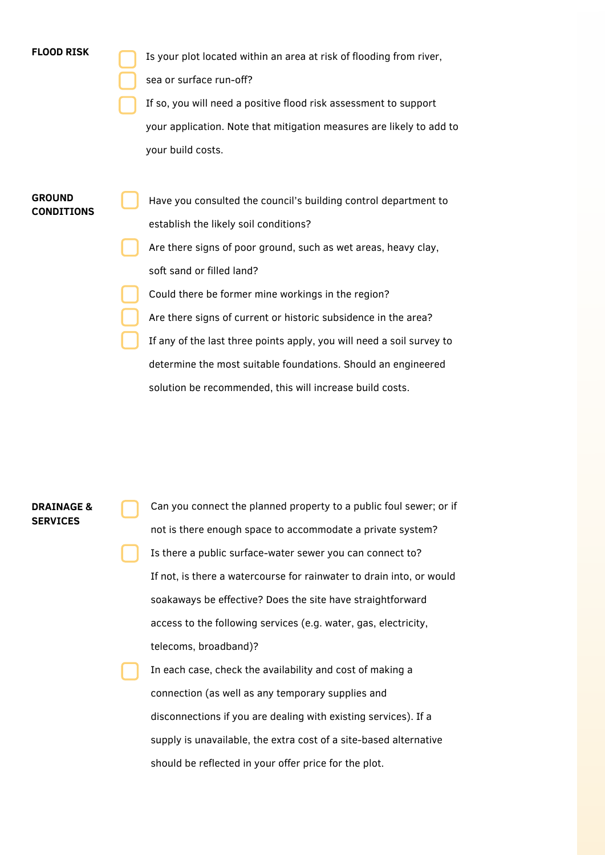| <b>FLOOD RISK</b>                  | Is your plot located within an area at risk of flooding from river,   |
|------------------------------------|-----------------------------------------------------------------------|
|                                    | sea or surface run-off?                                               |
|                                    | If so, you will need a positive flood risk assessment to support      |
|                                    | your application. Note that mitigation measures are likely to add to  |
|                                    | your build costs.                                                     |
|                                    |                                                                       |
| <b>GROUND</b><br><b>CONDITIONS</b> | Have you consulted the council's building control department to       |
|                                    | establish the likely soil conditions?                                 |
|                                    | Are there signs of poor ground, such as wet areas, heavy clay,        |
|                                    | soft sand or filled land?                                             |
|                                    | Could there be former mine workings in the region?                    |
|                                    | Are there signs of current or historic subsidence in the area?        |
|                                    | If any of the last three points apply, you will need a soil survey to |
|                                    | determine the most suitable foundations. Should an engineered         |
|                                    | solution be recommended, this will increase build costs.              |

# **DRAINAGE & SERVICES**

Can you connect the planned property to a public foul sewer; or if not is there enough space to accommodate a private system? Is there a public surface-water sewer you can connect to? If not, is there a watercourse for rainwater to drain into, or would soakaways be effective? Does the site have straightforward access to the following services (e.g. water, gas, electricity, telecoms, broadband)?

In each case, check the availability and cost of making a connection (as well as any temporary supplies and disconnections if you are dealing with existing services). If a supply is unavailable, the extra cost of a site-based alternative should be reflected in your offer price for the plot.